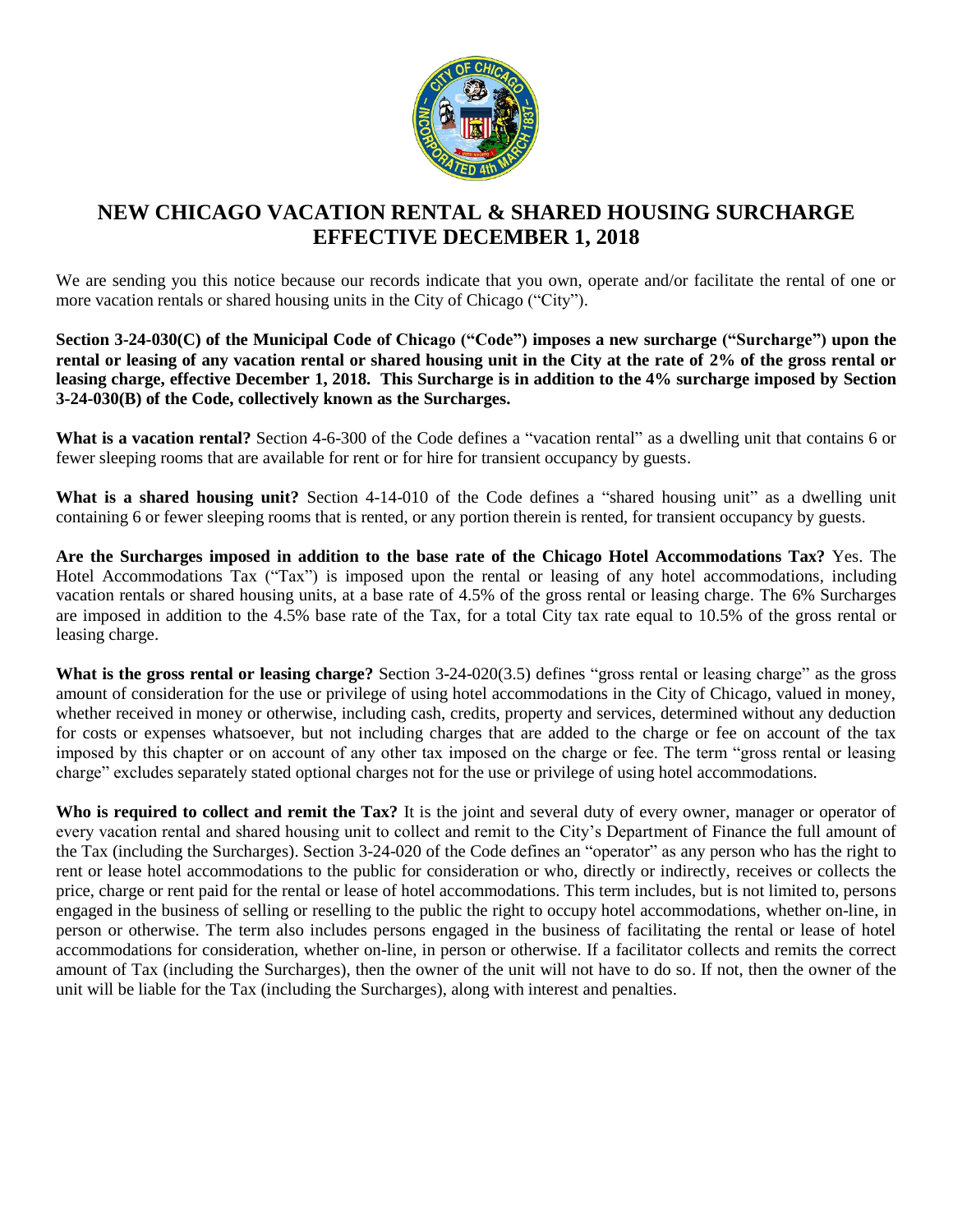

## **NEW CHICAGO VACATION RENTAL & SHARED HOUSING SURCHARGE EFFECTIVE DECEMBER 1, 2018**

We are sending you this notice because our records indicate that you own, operate and/or facilitate the rental of one or more vacation rentals or shared housing units in the City of Chicago ("City").

**Section 3-24-030(C) of the Municipal Code of Chicago ("Code") imposes a new surcharge ("Surcharge") upon the rental or leasing of any vacation rental or shared housing unit in the City at the rate of 2% of the gross rental or leasing charge, effective December 1, 2018. This Surcharge is in addition to the 4% surcharge imposed by Section 3-24-030(B) of the Code, collectively known as the Surcharges.**

**What is a vacation rental?** Section 4-6-300 of the Code defines a "vacation rental" as a dwelling unit that contains 6 or fewer sleeping rooms that are available for rent or for hire for transient occupancy by guests.

**What is a shared housing unit?** Section 4-14-010 of the Code defines a "shared housing unit" as a dwelling unit containing 6 or fewer sleeping rooms that is rented, or any portion therein is rented, for transient occupancy by guests.

**Are the Surcharges imposed in addition to the base rate of the Chicago Hotel Accommodations Tax?** Yes. The Hotel Accommodations Tax ("Tax") is imposed upon the rental or leasing of any hotel accommodations, including vacation rentals or shared housing units, at a base rate of 4.5% of the gross rental or leasing charge. The 6% Surcharges are imposed in addition to the 4.5% base rate of the Tax, for a total City tax rate equal to 10.5% of the gross rental or leasing charge.

**What is the gross rental or leasing charge?** Section 3-24-020(3.5) defines "gross rental or leasing charge" as the gross amount of consideration for the use or privilege of using hotel accommodations in the City of Chicago, valued in money, whether received in money or otherwise, including cash, credits, property and services, determined without any deduction for costs or expenses whatsoever, but not including charges that are added to the charge or fee on account of the tax imposed by this chapter or on account of any other tax imposed on the charge or fee. The term "gross rental or leasing charge" excludes separately stated optional charges not for the use or privilege of using hotel accommodations.

**Who is required to collect and remit the Tax?** It is the joint and several duty of every owner, manager or operator of every vacation rental and shared housing unit to collect and remit to the City's Department of Finance the full amount of the Tax (including the Surcharges). Section 3-24-020 of the Code defines an "operator" as any person who has the right to rent or lease hotel accommodations to the public for consideration or who, directly or indirectly, receives or collects the price, charge or rent paid for the rental or lease of hotel accommodations. This term includes, but is not limited to, persons engaged in the business of selling or reselling to the public the right to occupy hotel accommodations, whether on-line, in person or otherwise. The term also includes persons engaged in the business of facilitating the rental or lease of hotel accommodations for consideration, whether on-line, in person or otherwise. If a facilitator collects and remits the correct amount of Tax (including the Surcharges), then the owner of the unit will not have to do so. If not, then the owner of the unit will be liable for the Tax (including the Surcharges), along with interest and penalties.